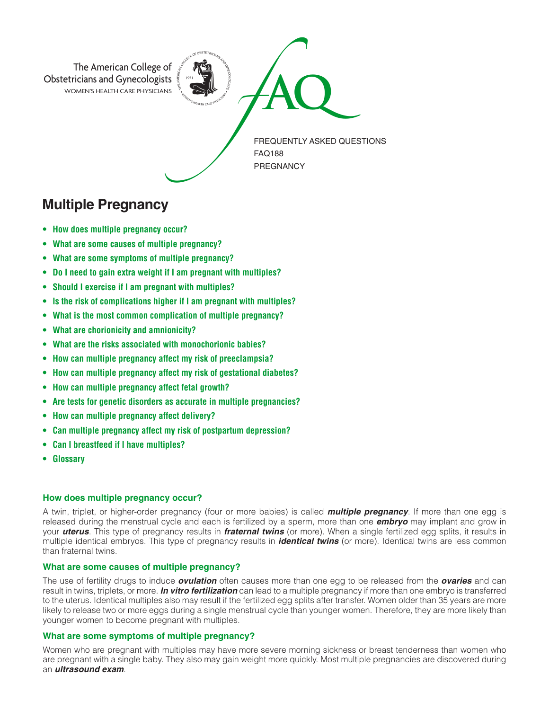

# **Multiple Pregnancy**

- **• How does multiple pregnancy occur?**
- **• What are some causes of multiple pregnancy?**
- **• What are some symptoms of multiple pregnancy?**
- **• Do I need to gain extra weight if I am pregnant with multiples?**
- **• Should I exercise if I am pregnant with multiples?**
- **• Is the risk of complications higher if I am pregnant with multiples?**
- **• What is the most common complication of multiple pregnancy?**
- **• What are chorionicity and amnionicity?**
- **• What are the risks associated with monochorionic babies?**
- **• How can multiple pregnancy affect my risk of preeclampsia?**
- **• How can multiple pregnancy affect my risk of gestational diabetes?**
- **• How can multiple pregnancy affect fetal growth?**
- **• Are tests for genetic disorders as accurate in multiple pregnancies?**
- **• How can multiple pregnancy affect delivery?**
- **• Can multiple pregnancy affect my risk of postpartum depression?**
- **• Can I breastfeed if I have multiples?**
- **Glossary**

### **How does multiple pregnancy occur?**

A twin, triplet, or higher-order pregnancy (four or more babies) is called *multiple pregnancy*. If more than one egg is released during the menstrual cycle and each is fertilized by a sperm, more than one *embryo* may implant and grow in your *uterus*. This type of pregnancy results in *fraternal twins* (or more). When a single fertilized egg splits, it results in multiple identical embryos. This type of pregnancy results in *identical twins* (or more). Identical twins are less common than fraternal twins.

## **What are some causes of multiple pregnancy?**

The use of fertility drugs to induce *ovulation* often causes more than one egg to be released from the *ovaries* and can result in twins, triplets, or more. *In vitro fertilization* can lead to a multiple pregnancy if more than one embryo is transferred to the uterus. Identical multiples also may result if the fertilized egg splits after transfer. Women older than 35 years are more likely to release two or more eggs during a single menstrual cycle than younger women. Therefore, they are more likely than younger women to become pregnant with multiples.

# **What are some symptoms of multiple pregnancy?**

Women who are pregnant with multiples may have more severe morning sickness or breast tenderness than women who are pregnant with a single baby. They also may gain weight more quickly. Most multiple pregnancies are discovered during an *ultrasound exam*.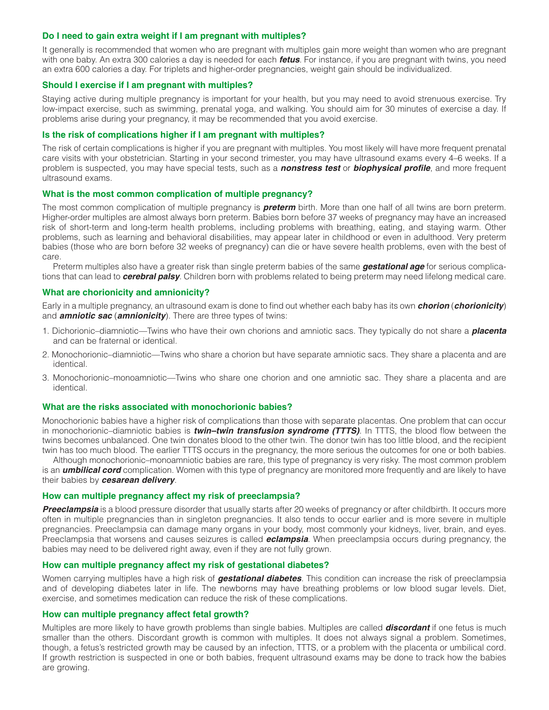# **Do I need to gain extra weight if I am pregnant with multiples?**

It generally is recommended that women who are pregnant with multiples gain more weight than women who are pregnant with one baby. An extra 300 calories a day is needed for each *fetus*. For instance, if you are pregnant with twins, you need an extra 600 calories a day. For triplets and higher-order pregnancies, weight gain should be individualized.

# **Should I exercise if I am pregnant with multiples?**

Staying active during multiple pregnancy is important for your health, but you may need to avoid strenuous exercise. Try low-impact exercise, such as swimming, prenatal yoga, and walking. You should aim for 30 minutes of exercise a day. If problems arise during your pregnancy, it may be recommended that you avoid exercise.

### **Is the risk of complications higher if I am pregnant with multiples?**

The risk of certain complications is higher if you are pregnant with multiples. You most likely will have more frequent prenatal care visits with your obstetrician. Starting in your second trimester, you may have ultrasound exams every 4–6 weeks. If a problem is suspected, you may have special tests, such as a *nonstress test* or *biophysical profile*, and more frequent ultrasound exams.

### **What is the most common complication of multiple pregnancy?**

The most common complication of multiple pregnancy is *preterm* birth. More than one half of all twins are born preterm. Higher-order multiples are almost always born preterm. Babies born before 37 weeks of pregnancy may have an increased risk of short-term and long-term health problems, including problems with breathing, eating, and staying warm. Other problems, such as learning and behavioral disabilities, may appear later in childhood or even in adulthood. Very preterm babies (those who are born before 32 weeks of pregnancy) can die or have severe health problems, even with the best of care.

Preterm multiples also have a greater risk than single preterm babies of the same *gestational age* for serious complications that can lead to *cerebral palsy*. Children born with problems related to being preterm may need lifelong medical care.

#### **What are chorionicity and amnionicity?**

Early in a multiple pregnancy, an ultrasound exam is done to find out whether each baby has its own *chorion* (*chorionicity*) and *amniotic sac* (*amnionicity*). There are three types of twins:

- 1. Dichorionic–diamniotic—Twins who have their own chorions and amniotic sacs. They typically do not share a *placenta* and can be fraternal or identical.
- 2. Monochorionic–diamniotic—Twins who share a chorion but have separate amniotic sacs. They share a placenta and are identical.
- 3. Monochorionic–monoamniotic—Twins who share one chorion and one amniotic sac. They share a placenta and are identical.

# **What are the risks associated with monochorionic babies?**

Monochorionic babies have a higher risk of complications than those with separate placentas. One problem that can occur in monochorionic–diamniotic babies is *twin–twin transfusion syndrome (TTTS)*. In TTTS, the blood flow between the twins becomes unbalanced. One twin donates blood to the other twin. The donor twin has too little blood, and the recipient twin has too much blood. The earlier TTTS occurs in the pregnancy, the more serious the outcomes for one or both babies.

Although monochorionic–monoamniotic babies are rare, this type of pregnancy is very risky. The most common problem is an *umbilical cord* complication. Women with this type of pregnancy are monitored more frequently and are likely to have their babies by *cesarean delivery*.

#### **How can multiple pregnancy affect my risk of preeclampsia?**

**Preeclampsia** is a blood pressure disorder that usually starts after 20 weeks of pregnancy or after childbirth. It occurs more often in multiple pregnancies than in singleton pregnancies. It also tends to occur earlier and is more severe in multiple pregnancies. Preeclampsia can damage many organs in your body, most commonly your kidneys, liver, brain, and eyes. Preeclampsia that worsens and causes seizures is called *eclampsia*. When preeclampsia occurs during pregnancy, the babies may need to be delivered right away, even if they are not fully grown.

#### **How can multiple pregnancy affect my risk of gestational diabetes?**

Women carrying multiples have a high risk of *gestational diabetes*. This condition can increase the risk of preeclampsia and of developing diabetes later in life. The newborns may have breathing problems or low blood sugar levels. Diet, exercise, and sometimes medication can reduce the risk of these complications.

#### **How can multiple pregnancy affect fetal growth?**

Multiples are more likely to have growth problems than single babies. Multiples are called *discordant* if one fetus is much smaller than the others. Discordant growth is common with multiples. It does not always signal a problem. Sometimes, though, a fetus's restricted growth may be caused by an infection, TTTS, or a problem with the placenta or umbilical cord. If growth restriction is suspected in one or both babies, frequent ultrasound exams may be done to track how the babies are growing.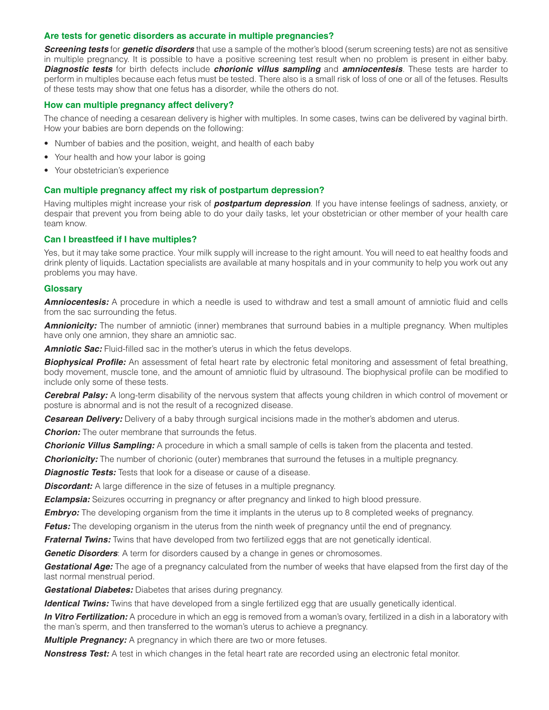# **Are tests for genetic disorders as accurate in multiple pregnancies?**

*Screening tests* for *genetic disorders* that use a sample of the mother's blood (serum screening tests) are not as sensitive in multiple pregnancy. It is possible to have a positive screening test result when no problem is present in either baby. *Diagnostic tests* for birth defects include *chorionic villus sampling* and *amniocentesis*. These tests are harder to perform in multiples because each fetus must be tested. There also is a small risk of loss of one or all of the fetuses. Results of these tests may show that one fetus has a disorder, while the others do not.

# **How can multiple pregnancy affect delivery?**

The chance of needing a cesarean delivery is higher with multiples. In some cases, twins can be delivered by vaginal birth. How your babies are born depends on the following:

- Number of babies and the position, weight, and health of each baby
- Your health and how your labor is going
- Your obstetrician's experience

# **Can multiple pregnancy affect my risk of postpartum depression?**

Having multiples might increase your risk of *postpartum depression*. If you have intense feelings of sadness, anxiety, or despair that prevent you from being able to do your daily tasks, let your obstetrician or other member of your health care team know.

# **Can I breastfeed if I have multiples?**

Yes, but it may take some practice. Your milk supply will increase to the right amount. You will need to eat healthy foods and drink plenty of liquids. Lactation specialists are available at many hospitals and in your community to help you work out any problems you may have.

# **Glossary**

*Amniocentesis:* A procedure in which a needle is used to withdraw and test a small amount of amniotic fluid and cells from the sac surrounding the fetus.

*Amnionicity:* The number of amniotic (inner) membranes that surround babies in a multiple pregnancy. When multiples have only one amnion, they share an amniotic sac.

**Amniotic Sac:** Fluid-filled sac in the mother's uterus in which the fetus develops.

**Biophysical Profile:** An assessment of fetal heart rate by electronic fetal monitoring and assessment of fetal breathing, body movement, muscle tone, and the amount of amniotic fluid by ultrasound. The biophysical profile can be modified to include only some of these tests.

**Cerebral Palsy:** A long-term disability of the nervous system that affects young children in which control of movement or posture is abnormal and is not the result of a recognized disease.

*Cesarean Delivery:* Delivery of a baby through surgical incisions made in the mother's abdomen and uterus.

*Chorion:* The outer membrane that surrounds the fetus.

*Chorionic Villus Sampling:* A procedure in which a small sample of cells is taken from the placenta and tested.

**Chorionicity:** The number of chorionic (outer) membranes that surround the fetuses in a multiple pregnancy.

**Diagnostic Tests:** Tests that look for a disease or cause of a disease.

**Discordant:** A large difference in the size of fetuses in a multiple pregnancy.

*Eclampsia:* Seizures occurring in pregnancy or after pregnancy and linked to high blood pressure.

*Embryo:* The developing organism from the time it implants in the uterus up to 8 completed weeks of pregnancy.

*Fetus:* The developing organism in the uterus from the ninth week of pregnancy until the end of pregnancy.

*Fraternal Twins:* Twins that have developed from two fertilized eggs that are not genetically identical.

*Genetic Disorders*: A term for disorders caused by a change in genes or chromosomes.

*Gestational Age:* The age of a pregnancy calculated from the number of weeks that have elapsed from the first day of the last normal menstrual period.

*Gestational Diabetes:* Diabetes that arises during pregnancy.

*Identical Twins:* Twins that have developed from a single fertilized egg that are usually genetically identical.

*In Vitro Fertilization:* A procedure in which an egg is removed from a woman's ovary, fertilized in a dish in a laboratory with the man's sperm, and then transferred to the woman's uterus to achieve a pregnancy.

**Multiple Pregnancy:** A pregnancy in which there are two or more fetuses.

*Nonstress Test:* A test in which changes in the fetal heart rate are recorded using an electronic fetal monitor.